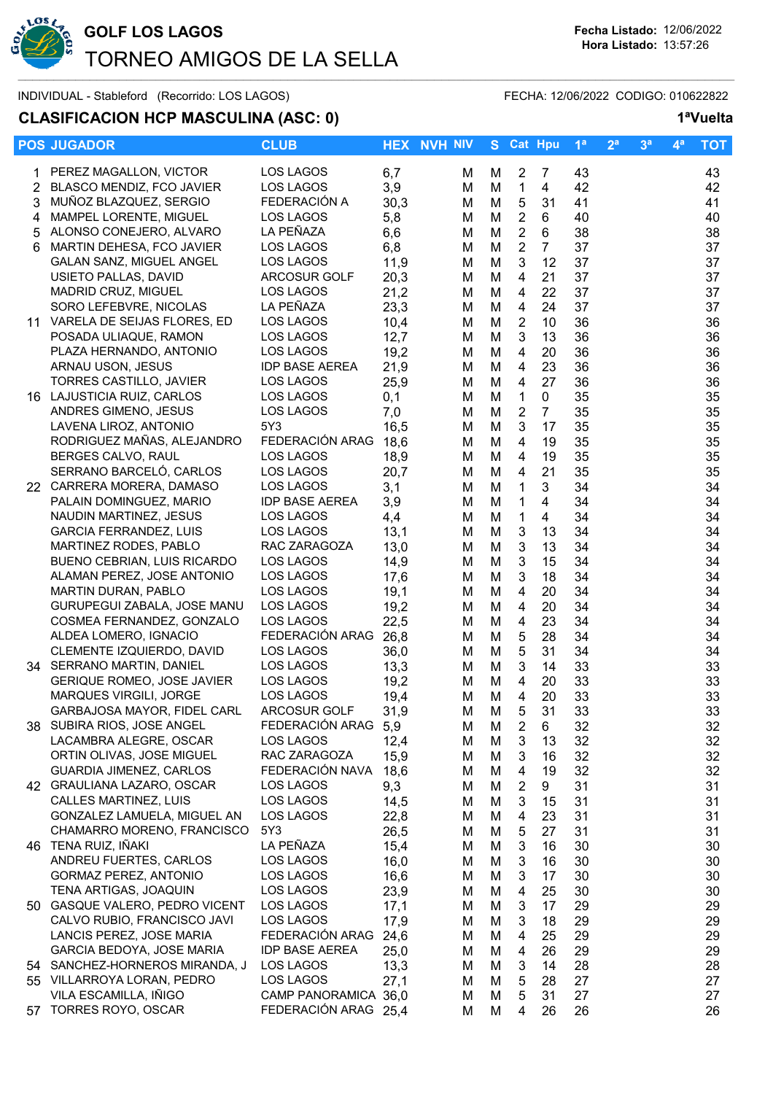

## **CLASIFICACION HCP MASCULINA (ASC: 0) 1ªVuelta**

|    | <b>POS JUGADOR</b>                | <b>CLUB</b>           |      | <b>HEX NVH NIV</b> |   |   | S Cat Hpu                 |                | 1 <sup>a</sup> | 2 <sup>a</sup> | 3 <sup>a</sup> | $4^a$ | <b>TOT</b> |
|----|-----------------------------------|-----------------------|------|--------------------|---|---|---------------------------|----------------|----------------|----------------|----------------|-------|------------|
| 1. | PEREZ MAGALLON, VICTOR            | LOS LAGOS             | 6,7  |                    | M | M | $\overline{2}$            | 7              | 43             |                |                |       | 43         |
| 2  | BLASCO MENDIZ, FCO JAVIER         | LOS LAGOS             | 3,9  |                    | М | M | $\mathbf{1}$              | 4              | 42             |                |                |       | 42         |
| 3  | MUÑOZ BLAZQUEZ, SERGIO            | FEDERACIÓN A          | 30,3 |                    | М | M | 5                         | 31             | 41             |                |                |       | 41         |
| 4  | MAMPEL LORENTE, MIGUEL            | <b>LOS LAGOS</b>      | 5,8  |                    | М | M | $\sqrt{2}$                | 6              | 40             |                |                |       | 40         |
| 5  | ALONSO CONEJERO, ALVARO           | LA PEÑAZA             | 6,6  |                    | M | M | $\overline{2}$            | $\,6\,$        | 38             |                |                |       | 38         |
| 6  | MARTIN DEHESA, FCO JAVIER         | LOS LAGOS             | 6,8  |                    | M | M | $\overline{2}$            | $\overline{7}$ | 37             |                |                |       | 37         |
|    | GALAN SANZ, MIGUEL ANGEL          | LOS LAGOS             | 11,9 |                    | м | M | $\mathfrak{S}$            | 12             | 37             |                |                |       | 37         |
|    | USIETO PALLAS, DAVID              | ARCOSUR GOLF          | 20,3 |                    | м | M | 4                         | 21             | 37             |                |                |       | 37         |
|    | MADRID CRUZ, MIGUEL               | <b>LOS LAGOS</b>      | 21,2 |                    | M | M | 4                         | 22             | 37             |                |                |       | 37         |
|    | SORO LEFEBVRE, NICOLAS            | LA PEÑAZA             | 23,3 |                    | м | M | 4                         | 24             | 37             |                |                |       | 37         |
| 11 | VARELA DE SEIJAS FLORES, ED       | LOS LAGOS             | 10,4 |                    | м | M | $\overline{2}$            | 10             | 36             |                |                |       | 36         |
|    | POSADA ULIAQUE, RAMON             | LOS LAGOS             | 12,7 |                    | м | M | 3                         | 13             | 36             |                |                |       | 36         |
|    | PLAZA HERNANDO, ANTONIO           | LOS LAGOS             | 19,2 |                    | M | M | 4                         | 20             | 36             |                |                |       | 36         |
|    | ARNAU USON, JESUS                 | <b>IDP BASE AEREA</b> | 21,9 |                    | м | M | 4                         | 23             | 36             |                |                |       | 36         |
|    | TORRES CASTILLO, JAVIER           | LOS LAGOS             | 25,9 |                    | M | M | 4                         | 27             | 36             |                |                |       | 36         |
|    | 16 LAJUSTICIA RUIZ, CARLOS        | LOS LAGOS             | 0,1  |                    | M | M | $\mathbf{1}$              | $\mathbf 0$    | 35             |                |                |       | 35         |
|    | ANDRES GIMENO, JESUS              | LOS LAGOS             | 7,0  |                    | M | M | $\sqrt{2}$                | $\overline{7}$ | 35             |                |                |       | 35         |
|    | LAVENA LIROZ, ANTONIO             | 5Y3                   | 16,5 |                    | M | M | $\mathbf{3}$              | 17             | 35             |                |                |       | 35         |
|    | RODRIGUEZ MAÑAS, ALEJANDRO        | FEDERACIÓN ARAG       | 18,6 |                    | M | M | 4                         | 19             | 35             |                |                |       | 35         |
|    | BERGES CALVO, RAUL                | LOS LAGOS             | 18,9 |                    | м | M | $\overline{\mathbf{4}}$   | 19             | 35             |                |                |       | 35         |
|    | SERRANO BARCELÓ, CARLOS           | LOS LAGOS             | 20,7 |                    | м | M | $\overline{4}$            | 21             | 35             |                |                |       | 35         |
|    | 22 CARRERA MORERA, DAMASO         | LOS LAGOS             | 3,1  |                    | M | M | $\mathbf 1$               | 3              | 34             |                |                |       | 34         |
|    | PALAIN DOMINGUEZ, MARIO           | <b>IDP BASE AEREA</b> | 3,9  |                    | M | M | $\mathbf 1$               | 4              | 34             |                |                |       | 34         |
|    | NAUDIN MARTINEZ, JESUS            | LOS LAGOS             | 4,4  |                    | м | M | $\mathbf{1}$              | 4              | 34             |                |                |       | 34         |
|    | <b>GARCIA FERRANDEZ, LUIS</b>     | LOS LAGOS             | 13,1 |                    | M | M | 3                         | 13             | 34             |                |                |       | 34         |
|    | MARTINEZ RODES, PABLO             | RAC ZARAGOZA          | 13,0 |                    | м | M | $\ensuremath{\mathsf{3}}$ | 13             | 34             |                |                |       | 34         |
|    | BUENO CEBRIAN, LUIS RICARDO       | LOS LAGOS             | 14,9 |                    | м | M | $\mathbf{3}$              | 15             | 34             |                |                |       | 34         |
|    | ALAMAN PEREZ, JOSE ANTONIO        | LOS LAGOS             | 17,6 |                    | M | M | $\mathbf{3}$              | 18             | 34             |                |                |       | 34         |
|    | <b>MARTIN DURAN, PABLO</b>        | LOS LAGOS             | 19,1 |                    | M | M | $\overline{\mathbf{4}}$   | 20             | 34             |                |                |       | 34         |
|    | GURUPEGUI ZABALA, JOSE MANU       | LOS LAGOS             | 19,2 |                    | м | M | 4                         | 20             | 34             |                |                |       | 34         |
|    | COSMEA FERNANDEZ, GONZALO         | LOS LAGOS             | 22,5 |                    | M | M | 4                         | 23             | 34             |                |                |       | 34         |
|    | ALDEA LOMERO, IGNACIO             | FEDERACIÓN ARAG       | 26,8 |                    | M | M | 5                         | 28             | 34             |                |                |       | 34         |
|    | CLEMENTE IZQUIERDO, DAVID         | LOS LAGOS             | 36,0 |                    | м | M | 5                         | 31             | 34             |                |                |       | 34         |
|    | 34 SERRANO MARTIN, DANIEL         | LOS LAGOS             | 13,3 |                    | M | M | $\mathbf{3}$              | 14             | 33             |                |                |       | 33         |
|    | <b>GERIQUE ROMEO, JOSE JAVIER</b> | LOS LAGOS             | 19,2 |                    | м | M | 4                         | 20             | 33             |                |                |       | 33         |
|    | MARQUES VIRGILI, JORGE            | LOS LAGOS             | 19,4 |                    | M | M | 4                         | 20             | 33             |                |                |       | 33         |
|    | GARBAJOSA MAYOR, FIDEL CARL       | ARCOSUR GOLF          | 31,9 |                    | M | M | 5                         | 31             | 33             |                |                |       | 33         |
|    | 38 SUBIRA RIOS, JOSE ANGEL        | FEDERACIÓN ARAG       | 5,9  |                    | М | M | 2                         | 6              | 32             |                |                |       | 32         |
|    | LACAMBRA ALEGRE, OSCAR            | LOS LAGOS             | 12,4 |                    | м | M | 3                         | 13             | 32             |                |                |       | 32         |
|    | ORTIN OLIVAS, JOSE MIGUEL         | RAC ZARAGOZA          | 15,9 |                    | м | M | 3                         | 16             | 32             |                |                |       | 32         |
|    | <b>GUARDIA JIMENEZ, CARLOS</b>    | FEDERACIÓN NAVA       | 18,6 |                    | м | M | 4                         | 19             | 32             |                |                |       | 32         |
|    | 42 GRAULIANA LAZARO, OSCAR        | LOS LAGOS             | 9,3  |                    | м | M | $\overline{2}$            | 9              | 31             |                |                |       | 31         |
|    | CALLES MARTINEZ, LUIS             | LOS LAGOS             | 14,5 |                    | м | M | 3                         | 15             | 31             |                |                |       | 31         |
|    | GONZALEZ LAMUELA, MIGUEL AN       | LOS LAGOS             | 22,8 |                    | M | M | 4                         | 23             | 31             |                |                |       | 31         |
|    | CHAMARRO MORENO, FRANCISCO        | 5Y3                   | 26,5 |                    | м | M | 5                         | 27             | 31             |                |                |       | 31         |
| 46 | TENA RUIZ, IÑAKI                  | LA PEÑAZA             | 15,4 |                    | м | M | 3                         | 16             | 30             |                |                |       | 30         |
|    | ANDREU FUERTES, CARLOS            | LOS LAGOS             | 16,0 |                    | м | M | 3                         | 16             | 30             |                |                |       | 30         |
|    | <b>GORMAZ PEREZ, ANTONIO</b>      | LOS LAGOS             | 16,6 |                    | м | M | 3                         | 17             | 30             |                |                |       | 30         |
|    | TENA ARTIGAS, JOAQUIN             | LOS LAGOS             | 23,9 |                    | м | M | 4                         | 25             | 30             |                |                |       | 30         |
| 50 | GASQUE VALERO, PEDRO VICENT       | LOS LAGOS             | 17,1 |                    | м | M | 3                         | 17             | 29             |                |                |       | 29         |
|    | CALVO RUBIO, FRANCISCO JAVI       | LOS LAGOS             | 17,9 |                    | м | M | 3                         | 18             | 29             |                |                |       | 29         |
|    | LANCIS PEREZ, JOSE MARIA          | FEDERACIÓN ARAG       | 24,6 |                    | м | M | 4                         | 25             | 29             |                |                |       | 29         |
|    | <b>GARCIA BEDOYA, JOSE MARIA</b>  | <b>IDP BASE AEREA</b> | 25,0 |                    | м | M | 4                         | 26             | 29             |                |                |       | 29         |
|    | 54 SANCHEZ-HORNEROS MIRANDA, J    | LOS LAGOS             | 13,3 |                    | м | M | 3                         | 14             | 28             |                |                |       | 28         |
|    | 55 VILLARROYA LORAN, PEDRO        | LOS LAGOS             | 27,1 |                    | м | M | 5                         | 28             | 27             |                |                |       | 27         |
|    | VILA ESCAMILLA, IÑIGO             | CAMP PANORAMICA 36,0  |      |                    | м | M | 5                         | 31             | 27             |                |                |       | 27         |
|    | 57 TORRES ROYO, OSCAR             | FEDERACIÓN ARAG 25,4  |      |                    | М | M | 4                         | 26             | 26             |                |                |       | 26         |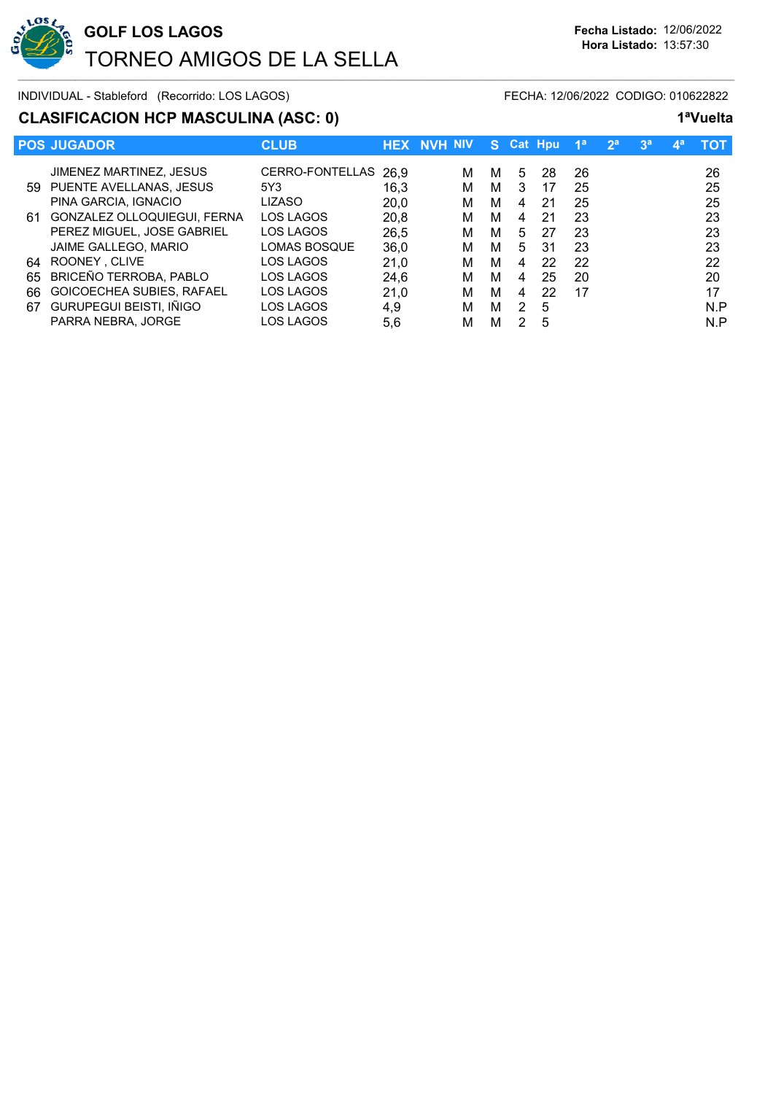

# **CLASIFICACION HCP MASCULINA (ASC: 0)** 1<sup>a</sup>Vuelt

| 1ªVuelta |
|----------|
|          |

|     | <b>POS JUGADOR</b>          | <b>CLUB</b>          |      | <b>HEX NVH NIV</b> | S. |   | <b>Cat Hpu</b> | 1ª | 2 <sup>a</sup> | 3 <sup>a</sup> | <b>AB</b> | тот |
|-----|-----------------------------|----------------------|------|--------------------|----|---|----------------|----|----------------|----------------|-----------|-----|
|     | JIMENEZ MARTINEZ, JESUS     | CERRO-FONTELLAS 26,9 |      | м                  | м  | 5 | 28             | 26 |                |                |           | 26  |
| 59. | PUENTE AVELLANAS, JESUS     | 5Y3                  | 16.3 | м                  | М  | 3 | 17             | 25 |                |                |           | 25  |
|     | PINA GARCIA, IGNACIO        | LIZASO               | 20.0 | м                  | М  | 4 | 21             | 25 |                |                |           | 25  |
| 61  | GONZALEZ OLLOQUIEGUI, FERNA | LOS LAGOS            | 20.8 | м                  | М  | 4 | 21             | 23 |                |                |           | 23  |
|     | PEREZ MIGUEL, JOSE GABRIEL  | LOS LAGOS            | 26.5 | м                  | М  | 5 | 27             | 23 |                |                |           | 23  |
|     | JAIME GALLEGO, MARIO        | <b>LOMAS BOSQUE</b>  | 36,0 | м                  | М  | 5 | 31             | 23 |                |                |           | 23  |
| 64  | ROONEY, CLIVE               | LOS LAGOS            | 21.0 | м                  | М  | 4 | 22             | 22 |                |                |           | 22  |
| 65  | BRICEÑO TERROBA, PABLO      | LOS LAGOS            | 24.6 | м                  | м  | 4 | 25             | 20 |                |                |           | 20  |
| 66  | GOICOECHEA SUBIES, RAFAEL   | LOS LAGOS            | 21.0 | м                  | М  | 4 | 22             | 17 |                |                |           | 17  |
| 67  | GURUPEGUI BEISTI, IÑIGO     | LOS LAGOS            | 4.9  | м                  | м  | 2 | 5              |    |                |                |           | N.P |
|     | PARRA NEBRA, JORGE          | LOS LAGOS            | 5,6  | м                  | М  |   | 5              |    |                |                |           | N.P |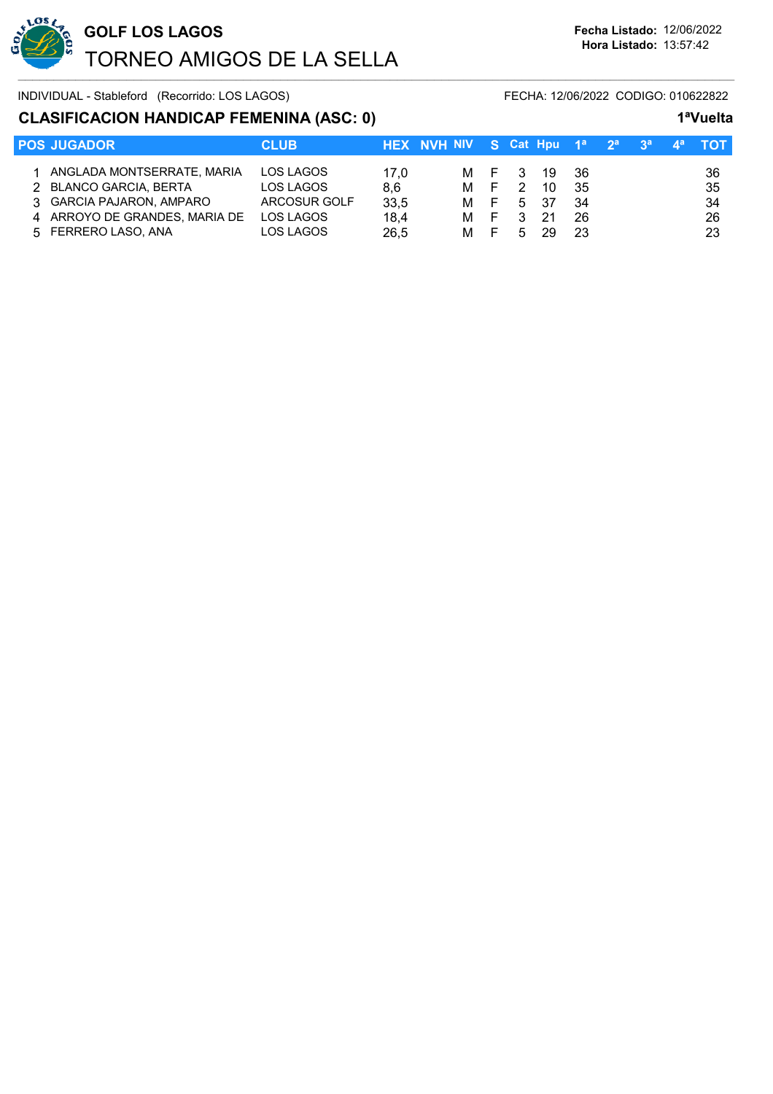

### **CLASIFICACION HANDICAP FEMENINA (ASC: 0) 1ªVuelta**

| <b>POS JUGADOR</b>            | <b>CLUB</b>  | HEX NVH NIV S Cat Hpu $1^a$ $2^a$ $3^a$ $4^a$ TOT |     |                |      |      |  |     |
|-------------------------------|--------------|---------------------------------------------------|-----|----------------|------|------|--|-----|
|                               |              |                                                   |     |                |      |      |  |     |
| 1 ANGLADA MONTSERRATE, MARIA  | LOS LAGOS    | 17,0                                              |     | M F 3          | - 19 | - 36 |  | -36 |
| 2 BLANCO GARCIA, BERTA        | LOS LAGOS    | 8.6                                               | M F | $\overline{2}$ | 10   | 35   |  | 35  |
| 3 GARCIA PAJARON, AMPARO      | ARCOSUR GOLF | 33,5                                              | M F |                | 5 37 | 34   |  | 34  |
| 4 ARROYO DE GRANDES, MARIA DE | LOS LAGOS    | 18.4                                              | M F | 3              | -21  | 26   |  | -26 |
| 5 FERRERO LASO, ANA           | LOS LAGOS    | 26.5                                              | M F | 5              | 29   | 23   |  | 23  |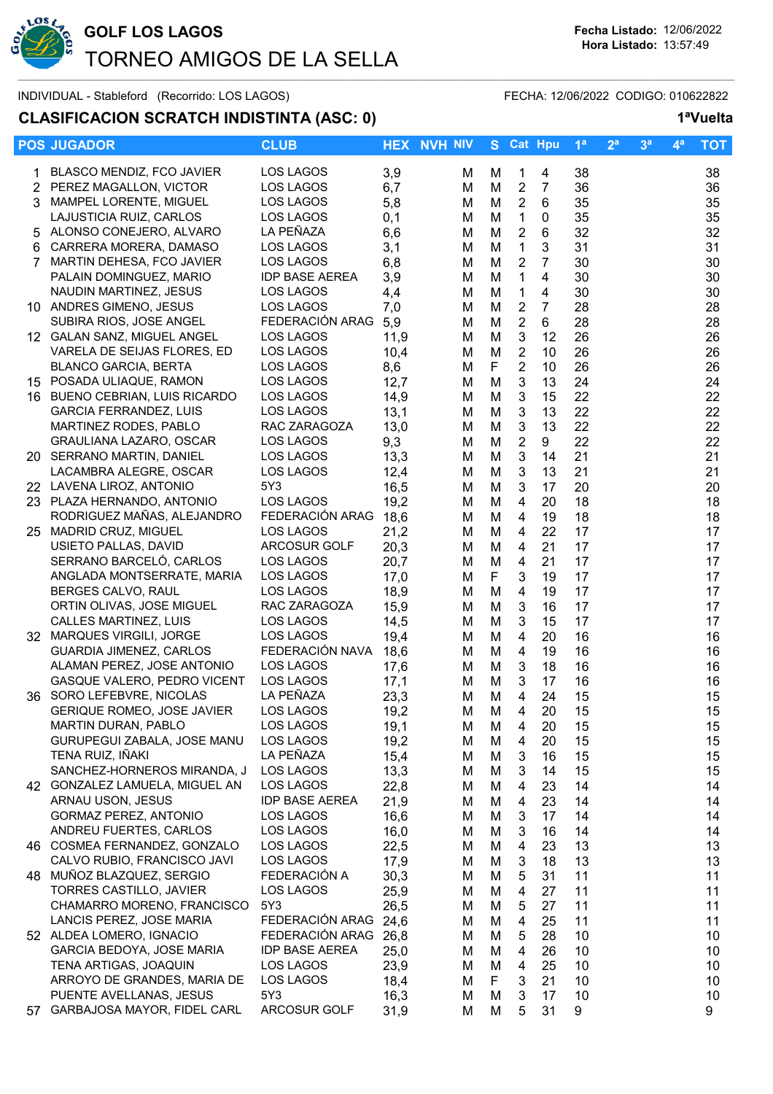

## **CLASIFICACION SCRATCH INDISTINTA (ASC: 0) 1ªVuelta**

#### **POS JUGADOR CLUB HEX NVH NIV S Cat Hpu 1ª 2ª 3ª 4ª TOT** 1 BLASCO MENDIZ, FCO JAVIER LOS LAGOS 3,9 M M 1 4 38 38 2 PEREZ MAGALLON, VICTOR LOS LAGOS 6,7 M M 2 7 36 36 3 MAMPEL LORENTE, MIGUEL LOS LAGOS 5,8 M M 2 6 35 35 LAJUSTICIA RUIZ, CARLOS LOS LAGOS 0.1 M M 1 0 35 35 35 5 ALONSO CONEJERO, ALVARO LA PEÑAZA 6,6 M M 2 6 32 32 6 CARRERA MORERA, DAMASO LOS LAGOS 3,1 M M 1 3 31 31 7 MARTIN DEHESA, FCO JAVIER LOS LAGOS 6,8 M M 2 7 30 30 PALAIN DOMINGUEZ, MARIO IDP BASE AEREA 3,9 M M 1 4 30 30 NAUDIN MARTINEZ, JESUS LOS LAGOS 4.4 M M 1 4 30 30 10 ANDRES GIMENO, JESUS LOS LAGOS 7,0 M M 2 7 28 28 SUBIRA RIOS, JOSE ANGEL FEDERACIÓN ARAG 5,9 M M 2 6 28 28 12 GALAN SANZ, MIGUEL ANGEL LOS LAGOS 11,9 M M 3 12 26 26 VARELA DE SEIJAS FLORES, ED LOS LAGOS 10,4 M M 2 10 26 26 BLANCO GARCIA, BERTA LOS LAGOS 8,6 M F 2 10 26 26 15 POSADA ULIAQUE, RAMON LOS LAGOS 12,7 M M 3 13 24 24 16 BUENO CEBRIAN, LUIS RICARDO LOS LAGOS 14.9 M M 3 15 22 22 22 GARCIA FERRANDEZ, LUIS LOS LAGOS 13,1 M M 3 13 22 22 MARTINEZ RODES, PABLO RAC ZARAGOZA 13,0 M M 3 13 22 22<br>GRAULIANA LAZARO, OSCAR LOS LAGOS 9.3 M M 2 9 22 22 22 GRAULIANA LAZARO, OSCAR LOS LAGOS 9.3 M M 2 9 22 22 22 20 SERRANO MARTIN, DANIEL LOS LAGOS 13,3 M M 3 14 21 21 LACAMBRA ALEGRE, OSCAR LOS LAGOS 12,4 M M 3 13 21 21 22 LAVENA LIROZ, ANTONIO 5Y3 16,5 M M 3 17 20 20 23 PLAZA HERNANDO, ANTONIO LOS LAGOS 19,2 M M 4 20 18 18 RODRIGUEZ MAÑAS, ALEJANDRO FEDERACIÓN ARAG 18.6 M M 4 19 18 18 18 25 MADRID CRUZ, MIGUEL LOS LAGOS 21,2 M M 4 22 17 17

- USIETO PALLAS, DAVID ARCOSUR GOLF 20,3 M M 4 21 17 17 SERRANO BARCELÓ, CARLOS LOS LAGOS 20,7 M M 4 21 17 17 ANGLADA MONTSERRATE, MARIA LOS LAGOS 17.0 M F 3 19 17 17 17 PURIT BERGES CALVO, RAUL LOS LAGOS 18,9 MM 4 19 17 17<br>17 ORTIN OLIVAS. JOSE MIGUEL RAC ZARAGOZA 15.9 MM 4 3 16 17 17 ORTIN OLIVAS, JOSE MIGUEL RAC ZARAGOZA 15,9 M M 3 16 17 17 CALLES MARTINEZ, LUIS LOS LAGOS 14,5 M M 3 15 17 17
- 
- 
- 
- 
- 
- 

| 32 | MARQUES VIRGILI, JORGE            | LOS LAGOS             | 19,4 | М | м | 4 | 20 | 16 | 16 |
|----|-----------------------------------|-----------------------|------|---|---|---|----|----|----|
|    | <b>GUARDIA JIMENEZ, CARLOS</b>    | FEDERACIÓN NAVA       | 18,6 | м | м | 4 | 19 | 16 | 16 |
|    | ALAMAN PEREZ, JOSE ANTONIO        | LOS LAGOS             | 17,6 | м | M | 3 | 18 | 16 | 16 |
|    | GASQUE VALERO, PEDRO VICENT       | LOS LAGOS             | 17,1 | M | М | 3 | 17 | 16 | 16 |
| 36 | SORO LEFEBVRE, NICOLAS            | LA PEÑAZA             | 23,3 | м | M | 4 | 24 | 15 | 15 |
|    | <b>GERIQUE ROMEO, JOSE JAVIER</b> | LOS LAGOS             | 19,2 | м | M | 4 | 20 | 15 | 15 |
|    | MARTIN DURAN, PABLO               | LOS LAGOS             | 19,1 | м | M | 4 | 20 | 15 | 15 |
|    | GURUPEGUI ZABALA, JOSE MANU       | LOS LAGOS             | 19,2 | м | м | 4 | 20 | 15 | 15 |
|    | TENA RUIZ, IÑAKI                  | LA PEÑAZA             | 15,4 | M | M | 3 | 16 | 15 | 15 |
|    | SANCHEZ-HORNEROS MIRANDA, J       | LOS LAGOS             | 13,3 | м | М | 3 | 14 | 15 | 15 |
| 42 | GONZALEZ LAMUELA, MIGUEL AN       | LOS LAGOS             | 22,8 | M | M | 4 | 23 | 14 | 14 |
|    | ARNAU USON, JESUS                 | <b>IDP BASE AEREA</b> | 21,9 | м | М | 4 | 23 | 14 | 14 |
|    | <b>GORMAZ PEREZ, ANTONIO</b>      | LOS LAGOS             | 16,6 | м | M | 3 | 17 | 14 | 14 |
|    | ANDREU FUERTES, CARLOS            | LOS LAGOS             | 16,0 | м | M | 3 | 16 | 14 | 14 |
| 46 | COSMEA FERNANDEZ, GONZALO         | LOS LAGOS             | 22,5 | м | м | 4 | 23 | 13 | 13 |
|    | CALVO RUBIO, FRANCISCO JAVI       | LOS LAGOS             | 17,9 | M | M | 3 | 18 | 13 | 13 |
| 48 | MUÑOZ BLAZQUEZ, SERGIO            | FEDERACIÓN A          | 30,3 | м | M | 5 | 31 | 11 | 11 |
|    | TORRES CASTILLO, JAVIER           | LOS LAGOS             | 25,9 | M | M | 4 | 27 | 11 | 11 |
|    | CHAMARRO MORENO, FRANCISCO        | 5Y3                   | 26,5 | м | M | 5 | 27 | 11 | 11 |
|    | LANCIS PEREZ, JOSE MARIA          | FEDERACIÓN ARAG       | 24,6 | м | M | 4 | 25 | 11 | 11 |
| 52 | ALDEA LOMERO, IGNACIO             | FEDERACIÓN ARAG       | 26,8 | м | м | 5 | 28 | 10 | 10 |
|    | GARCIA BEDOYA, JOSE MARIA         | <b>IDP BASE AEREA</b> | 25,0 | м | M | 4 | 26 | 10 | 10 |
|    | TENA ARTIGAS, JOAQUIN             | LOS LAGOS             | 23,9 | м | м | 4 | 25 | 10 | 10 |
|    | ARROYO DE GRANDES, MARIA DE       | LOS LAGOS             | 18,4 | м | F | 3 | 21 | 10 | 10 |
|    | PUENTE AVELLANAS, JESUS           | 5Y3                   | 16,3 | м | M | 3 | 17 | 10 | 10 |
| 57 | GARBAJOSA MAYOR, FIDEL CARL       | ARCOSUR GOLF          | 31,9 | M | M | 5 | 31 | 9  | 9  |
|    |                                   |                       |      |   |   |   |    |    |    |